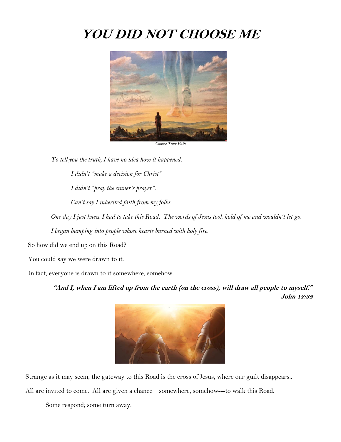## **YOU DID NOT CHOOSE ME**



*Choose Your Path*

*To tell you the truth, I have no idea how it happened. I didn't "make a decision for Christ". I didn't "pray the sinner's prayer". Can't say I inherited faith from my folks.* 

*One day I just knew I had to take this Road. The words of Jesus took hold of me and wouldn't let go.*

*I began bumping into people whose hearts burned with holy fire.*

So how did we end up on this Road?

You could say we were drawn to it.

In fact, everyone is drawn to it somewhere, somehow.

**"And I, when I am lifted up from the earth (on the cross), will draw all people to myself." John 12:32**



Strange as it may seem, the gateway to this Road is the cross of Jesus, where our guilt disappears..

All are invited to come. All are given a chance—somewhere, somehow---to walk this Road.

Some respond; some turn away.